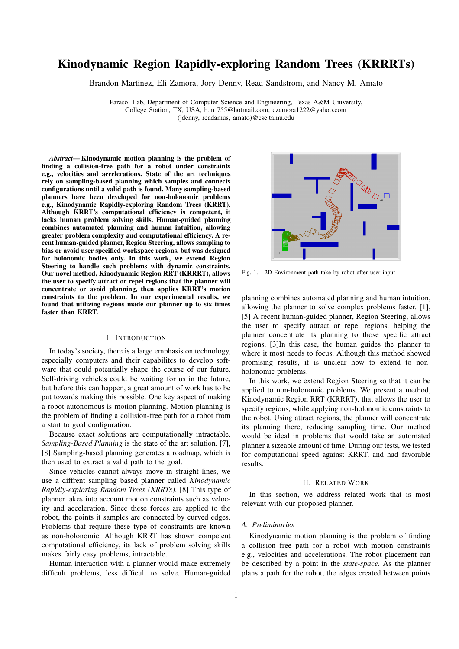# Kinodynamic Region Rapidly-exploring Random Trees (KRRRTs)

Brandon Martinez, Eli Zamora, Jory Denny, Read Sandstrom, and Nancy M. Amato

Parasol Lab, Department of Computer Science and Engineering, Texas A&M University, College Station, TX, USA, b.m 755@hotmail.com, ezamora1222@yahoo.com (jdenny, readamus, amato)@cse.tamu.edu

*Abstract*— Kinodynamic motion planning is the problem of finding a collision-free path for a robot under constraints e.g., velocities and accelerations. State of the art techniques rely on sampling-based planning which samples and connects configurations until a valid path is found. Many sampling-based planners have been developed for non-holonomic problems e.g., Kinodynamic Rapidly-exploring Random Trees (KRRT). Although KRRT's computational efficiency is competent, it lacks human problem solving skills. Human-guided planning combines automated planning and human intuition, allowing greater problem complexity and computational efficiency. A recent human-guided planner, Region Steering, allows sampling to bias or avoid user specified workspace regions, but was designed for holonomic bodies only. In this work, we extend Region Steering to handle such problems with dynamic constraints. Our novel method, Kinodynamic Region RRT (KRRRT), allows the user to specify attract or repel regions that the planner will concentrate or avoid planning, then applies KRRT's motion constraints to the problem. In our experimental results, we found that utilizing regions made our planner up to six times faster than KRRT.

# I. INTRODUCTION

In today's society, there is a large emphasis on technology, especially computers and their capabilites to develop software that could potentially shape the course of our future. Self-driving vehicles could be waiting for us in the future, but before this can happen, a great amount of work has to be put towards making this possible. One key aspect of making a robot autonomous is motion planning. Motion planning is the problem of finding a collision-free path for a robot from a start to goal configuration.

Because exact solutions are computationally intractable, *Sampling-Based Planning* is the state of the art solution. [7], [8] Sampling-based planning generates a roadmap, which is then used to extract a valid path to the goal.

Since vehicles cannot always move in straight lines, we use a diffrent sampling based planner called *Kinodynamic Rapidly-exploring Random Trees (KRRTs)*. [8] This type of planner takes into account motion constraints such as velocity and acceleration. Since these forces are applied to the robot, the points it samples are connected by curved edges. Problems that require these type of constraints are known as non-holonomic. Although KRRT has shown competent computational efficiency, its lack of problem solving skills makes fairly easy problems, intractable.

Human interaction with a planner would make extremely difficult problems, less difficult to solve. Human-guided



Fig. 1. 2D Environment path take by robot after user input

planning combines automated planning and human intuition, allowing the planner to solve complex problems faster. [1], [5] A recent human-guided planner, Region Steering, allows the user to specify attract or repel regions, helping the planner concentrate its planning to those specific attract regions. [3]In this case, the human guides the planner to where it most needs to focus. Although this method showed promising results, it is unclear how to extend to nonholonomic problems.

In this work, we extend Region Steering so that it can be applied to non-holonomic problems. We present a method, Kinodynamic Region RRT (KRRRT), that allows the user to specify regions, while applying non-holonomic constraints to the robot. Using attract regions, the planner will concentrate its planning there, reducing sampling time. Our method would be ideal in problems that would take an automated planner a sizeable amount of time. During our tests, we tested for computational speed against KRRT, and had favorable results.

#### II. RELATED WORK

In this section, we address related work that is most relevant with our proposed planner.

#### *A. Preliminaries*

Kinodynamic motion planning is the problem of finding a collision free path for a robot with motion constraints e.g., velocities and accelerations. The robot placement can be described by a point in the *state-space*. As the planner plans a path for the robot, the edges created between points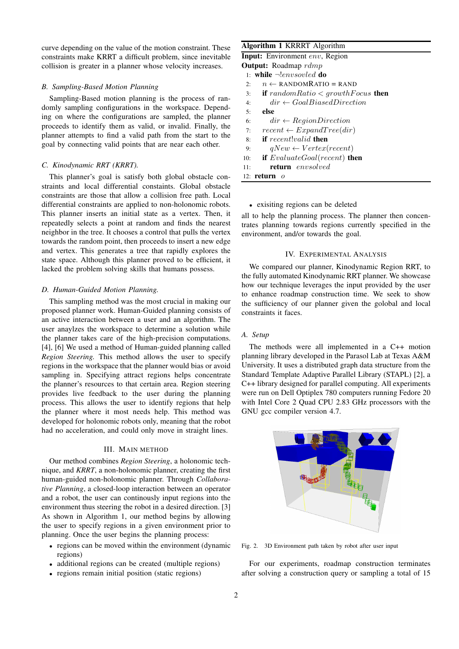curve depending on the value of the motion constraint. These constraints make KRRT a difficult problem, since inevitable collision is greater in a planner whose velocity increases.

# *B. Sampling-Based Motion Planning*

Sampling-Based motion planning is the process of randomly sampling configurations in the workspace. Depending on where the configurations are sampled, the planner proceeds to identify them as valid, or invalid. Finally, the planner attempts to find a valid path from the start to the goal by connecting valid points that are near each other.

# *C. Kinodynamic RRT (KRRT).*

This planner's goal is satisfy both global obstacle constraints and local differential constaints. Global obstacle constraints are those that allow a collision free path. Local differential constraints are applied to non-holonomic robots. This planner inserts an initial state as a vertex. Then, it repeatedly selects a point at random and finds the nearest neighbor in the tree. It chooses a control that pulls the vertex towards the random point, then proceeds to insert a new edge and vertex. This generates a tree that rapidly explores the state space. Although this planner proved to be efficient, it lacked the problem solving skills that humans possess.

# *D. Human-Guided Motion Planning.*

This sampling method was the most crucial in making our proposed planner work. Human-Guided planning consists of an active interaction between a user and an algorithm. The user anaylzes the workspace to determine a solution while the planner takes care of the high-precision computations. [4], [6] We used a method of Human-guided planning called *Region Steering.* This method allows the user to specify regions in the workspace that the planner would bias or avoid sampling in. Specifying attract regions helps concentrate the planner's resources to that certain area. Region steering provides live feedback to the user during the planning process. This allows the user to identify regions that help the planner where it most needs help. This method was developed for holonomic robots only, meaning that the robot had no acceleration, and could only move in straight lines.

# III. MAIN METHOD

Our method combines *Region Steering*, a holonomic technique, and *KRRT*, a non-holonomic planner, creating the first human-guided non-holonomic planner. Through *Collaborative Planning*, a closed-loop interaction between an operator and a robot, the user can continously input regions into the environment thus steering the robot in a desired direction. [3] As shown in Algorithm 1, our method begins by allowing the user to specify regions in a given environment prior to planning. Once the user begins the planning process:

- regions can be moved within the environment (dynamic regions)
- additional regions can be created (multiple regions)
- regions remain initial position (static regions)

# Algorithm 1 KRRRT Algorithm

| <b>Input:</b> Environment env, Region                       |
|-------------------------------------------------------------|
| <b>Output:</b> Roadmap $rdmp$                               |
| 1: while $\neg$ <i>envsorled</i> do                         |
| $n \leftarrow$ RANDOMRATIO = RAND<br>2:                     |
| <b>if</b> random Ratio $\lt$ growth Focus <b>then</b><br>3: |
| $dir \leftarrow GoalBiasedDirection$<br>4·                  |
| else<br>5:                                                  |
| $dir \leftarrow RegionDirection$<br>6:                      |
| $recent \leftarrow ExpandTree(dir)$<br>7:                   |
| <b>if</b> recent!valid <b>then</b><br>8:                    |
| $qNew \leftarrow Vertex(recent)$<br>9:                      |
| if $EvaluateGoal(recent)$ then<br>10:                       |
| return envsolved<br>11:                                     |
| 12: <b>return</b> $\alpha$                                  |

# • exisiting regions can be deleted

all to help the planning process. The planner then concentrates planning towards regions currently specified in the environment, and/or towards the goal.

#### IV. EXPERIMENTAL ANALYSIS

We compared our planner, Kinodynamic Region RRT, to the fully automated Kinodynamic RRT planner. We showcase how our technique leverages the input provided by the user to enhance roadmap construction time. We seek to show the sufficiency of our planner given the golobal and local constraints it faces.

# *A. Setup*

The methods were all implemented in a C++ motion planning library developed in the Parasol Lab at Texas A&M University. It uses a distributed graph data structure from the Standard Template Adaptive Parallel Library (STAPL) [2], a C++ library designed for parallel computing. All experiments were run on Dell Optiplex 780 computers running Fedore 20 with Intel Core 2 Quad CPU 2.83 GHz processors with the GNU gcc compiler version 4.7.



Fig. 2. 3D Environment path taken by robot after user input

For our experiments, roadmap construction terminates after solving a construction query or sampling a total of 15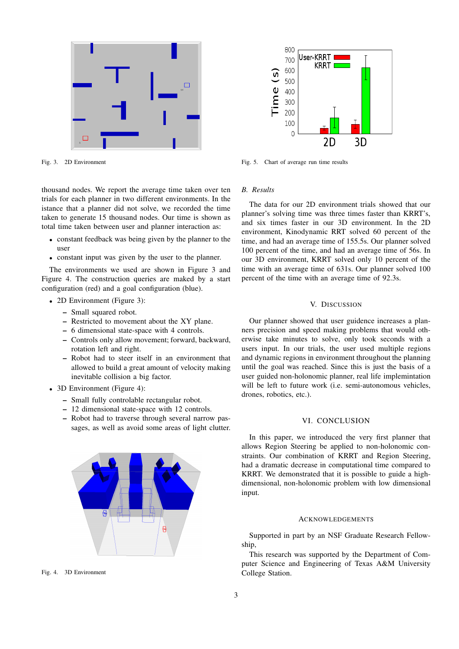

Fig. 3. 2D Environment

thousand nodes. We report the average time taken over ten trials for each planner in two different environments. In the istance that a planner did not solve, we recorded the time taken to generate 15 thousand nodes. Our time is shown as total time taken between user and planner interaction as:

- constant feedback was being given by the planner to the user
- constant input was given by the user to the planner.

The environments we used are shown in Figure 3 and Figure 4. The construction queries are maked by a start configuration (red) and a goal configuration (blue).

- 2D Environment (Figure 3):
	- Small squared robot.
	- Restricted to movement about the XY plane.
	- 6 dimensional state-space with 4 controls.
	- Controls only allow movement; forward, backward, rotation left and right.
	- Robot had to steer itself in an environment that allowed to build a great amount of velocity making inevitable collision a big factor.
- 3D Environment (Figure 4):
	- Small fully controlable rectangular robot.
	- 12 dimensional state-space with 12 controls.
	- Robot had to traverse through several narrow passages, as well as avoid some areas of light clutter.



Fig. 4. 3D Environment



Fig. 5. Chart of average run time results

#### *B. Results*

The data for our 2D environment trials showed that our planner's solving time was three times faster than KRRT's, and six times faster in our 3D environment. In the 2D environment, Kinodynamic RRT solved 60 percent of the time, and had an average time of 155.5s. Our planner solved 100 percent of the time, and had an average time of 56s. In our 3D environment, KRRT solved only 10 percent of the time with an average time of 631s. Our planner solved 100 percent of the time with an average time of 92.3s.

#### V. DISCUSSION

Our planner showed that user guidence increases a planners precision and speed making problems that would otherwise take minutes to solve, only took seconds with a users input. In our trials, the user used multiple regions and dynamic regions in environment throughout the planning until the goal was reached. Since this is just the basis of a user guided non-holonomic planner, real life implemintation will be left to future work (i.e. semi-autonomous vehicles, drones, robotics, etc.).

#### VI. CONCLUSION

In this paper, we introduced the very first planner that allows Region Steering be applied to non-holonomic constraints. Our combination of KRRT and Region Steering, had a dramatic decrease in computational time compared to KRRT. We demonstrated that it is possible to guide a highdimensional, non-holonomic problem with low dimensional input.

# **ACKNOWLEDGEMENTS**

Supported in part by an NSF Graduate Research Fellowship,

This research was supported by the Department of Computer Science and Engineering of Texas A&M University College Station.